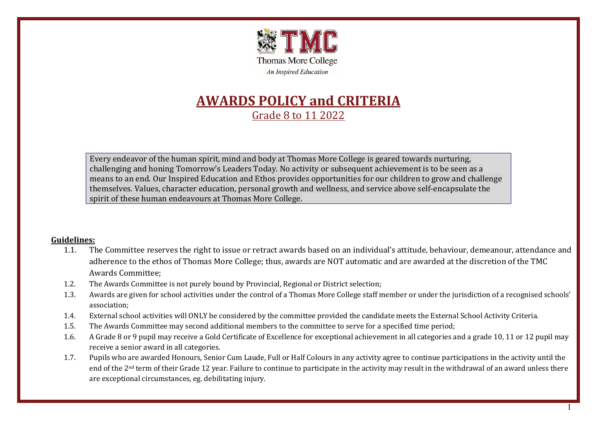

# **AWARDS POLICY and CRITERIA** Grade 8 to 11 2022

Every endeavor of the human spirit, mind and body at Thomas More College is geared towards nurturing, challenging and honing Tomorrow's Leaders Today. No activity or subsequent achievement is to be seen as a means to an end. Our Inspired Education and Ethos provides opportunities for our children to grow and challenge themselves. Values, character education, personal growth and wellness, and service above self-encapsulate the spirit of these human endeavours at Thomas More College.

#### **Guidelines:**

- 1.1. The Committee reserves the right to issue or retract awards based on an individual's attitude, behaviour, demeanour, attendance and adherence to the ethos of Thomas More College; thus, awards are NOT automatic and are awarded at the discretion of the TMC Awards Committee;
- 1.2. The Awards Committee is not purely bound by Provincial, Regional or District selection;
- 1.3. Awards are given for school activities under the control of a Thomas More College staff member or under the jurisdiction of a recognised schools' association;
- 1.4. External school activities will ONLY be considered by the committee provided the candidate meets the External School Activity Criteria.
- 1.5. The Awards Committee may second additional members to the committee to serve for a specified time period;
- 1.6. A Grade 8 or 9 pupil may receive a Gold Certificate of Excellence for exceptional achievement in all categories and a grade 10, 11 or 12 pupil may receive a senior award in all categories.
- 1.7. Pupils who are awarded Honours, Senior Cum Laude, Full or Half Colours in any activity agree to continue participations in the activity until the end of the 2nd term of their Grade 12 year. Failure to continue to participate in the activity may result in the withdrawal of an award unless there are exceptional circumstances, eg. debilitating injury.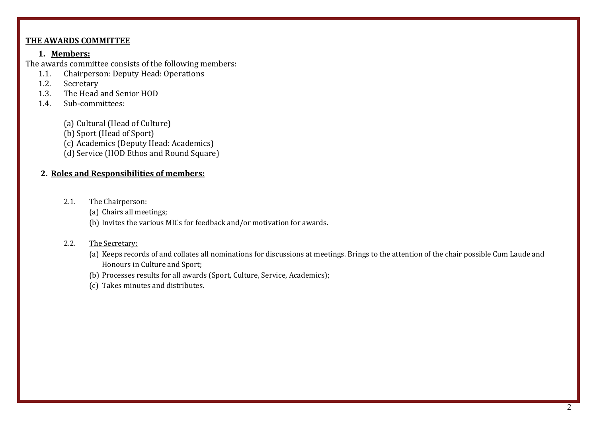#### **THE AWARDS COMMITTEE**

#### **1. Members:**

The awards committee consists of the following members:<br>1.1. Chairperson: Deputy Head: Operations

- 1.1. Chairperson: Deputy Head: Operations<br>1.2. Secretary
- **Secretary**
- 1.3. The Head and Senior HOD<br>14 Sub-committees
- Sub-committees:
	- (a) Cultural (Head of Culture)
	- (b) Sport (Head of Sport)
	- (c) Academics (Deputy Head: Academics)
	- (d) Service (HOD Ethos and Round Square)

### **2. Roles and Responsibilities of members:**

- 2.1. The Chairperson:
	- (a) Chairs all meetings;
	- (b) Invites the various MICs for feedback and/or motivation for awards.

#### 2.2. The Secretary:

- (a) Keeps records of and collates all nominations for discussions at meetings. Brings to the attention of the chair possible Cum Laude and Honours in Culture and Sport;
- (b) Processes results for all awards (Sport, Culture, Service, Academics);
- (c) Takes minutes and distributes.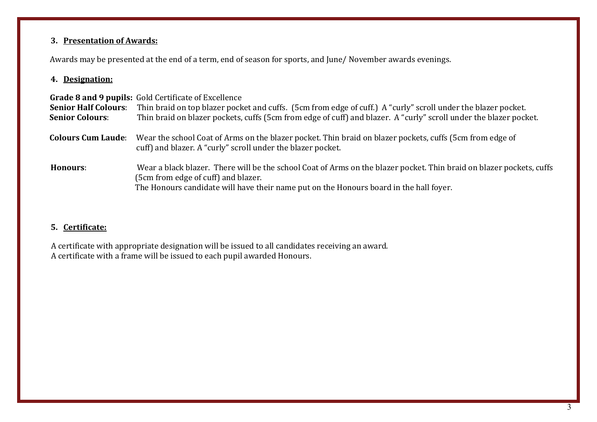# **3. Presentation of Awards:**

Awards may be presented at the end of a term, end of season for sports, and June/ November awards evenings.

#### **4. Designation:**

| <b>Senior Half Colours:</b><br><b>Senior Colours:</b> | <b>Grade 8 and 9 pupils:</b> Gold Certificate of Excellence<br>Thin braid on top blazer pocket and cuffs. (5cm from edge of cuff.) A "curly" scroll under the blazer pocket.<br>Thin braid on blazer pockets, cuffs (5cm from edge of cuff) and blazer. A "curly" scroll under the blazer pocket. |
|-------------------------------------------------------|---------------------------------------------------------------------------------------------------------------------------------------------------------------------------------------------------------------------------------------------------------------------------------------------------|
| <b>Colours Cum Laude:</b>                             | Wear the school Coat of Arms on the blazer pocket. Thin braid on blazer pockets, cuffs (5cm from edge of<br>cuff) and blazer. A "curly" scroll under the blazer pocket.                                                                                                                           |
| Honours:                                              | Wear a black blazer. There will be the school Coat of Arms on the blazer pocket. Thin braid on blazer pockets, cuffs<br>(5cm from edge of cuff) and blazer.<br>The Honours candidate will have their name put on the Honours board in the hall foyer.                                             |

# **5. Certificate:**

A certificate with appropriate designation will be issued to all candidates receiving an award. A certificate with a frame will be issued to each pupil awarded Honours.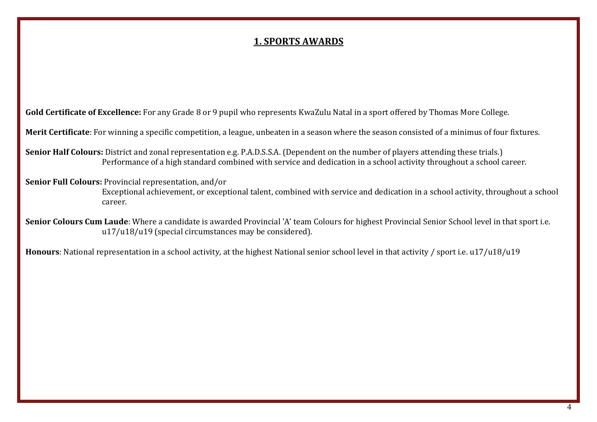# **1. SPORTS AWARDS**

**Gold Certificate of Excellence:** For any Grade 8 or 9 pupil who represents KwaZulu Natal in a sport offered by Thomas More College.

**Merit Certificate**: For winning a specific competition, a league, unbeaten in a season where the season consisted of a minimus of four fixtures.

**Senior Half Colours:** District and zonal representation e.g. P.A.D.S.S.A. (Dependent on the number of players attending these trials.) Performance of a high standard combined with service and dedication in a school activity throughout a school career.

**Senior Full Colours:** Provincial representation, and/or

Exceptional achievement, or exceptional talent, combined with service and dedication in a school activity, throughout a school career.

**Senior Colours Cum Laude**: Where a candidate is awarded Provincial 'A' team Colours for highest Provincial Senior School level in that sport i.e. u17/u18/u19 (special circumstances may be considered).

**Honours**: National representation in a school activity, at the highest National senior school level in that activity / sport i.e. u17/u18/u19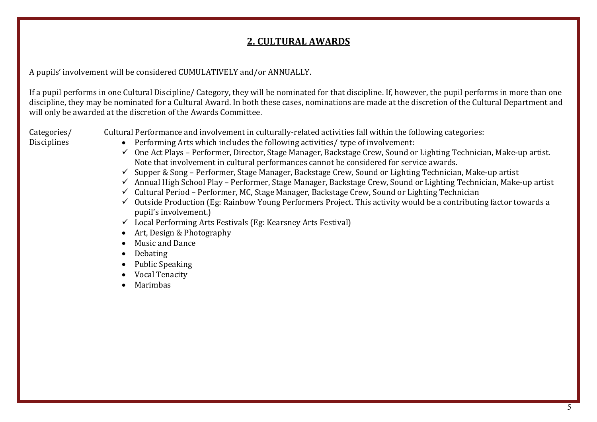# **2. CULTURAL AWARDS**

A pupils' involvement will be considered CUMULATIVELY and/or ANNUALLY.

If a pupil performs in one Cultural Discipline/ Category, they will be nominated for that discipline. If, however, the pupil performs in more than one discipline, they may be nominated for a Cultural Award. In both these cases, nominations are made at the discretion of the Cultural Department and will only be awarded at the discretion of the Awards Committee.

Categories/ Disciplines

- Cultural Performance and involvement in culturally-related activities fall within the following categories:
	- Performing Arts which includes the following activities/ type of involvement:
	- $\checkmark$  One Act Plays Performer, Director, Stage Manager, Backstage Crew, Sound or Lighting Technician, Make-up artist. Note that involvement in cultural performances cannot be considered for service awards.
	- $\checkmark$  Supper & Song Performer, Stage Manager, Backstage Crew, Sound or Lighting Technician, Make-up artist
	- $\checkmark$  Annual High School Play Performer, Stage Manager, Backstage Crew, Sound or Lighting Technician, Make-up artist
	- $\checkmark$  Cultural Period Performer, MC, Stage Manager, Backstage Crew, Sound or Lighting Technician
	- $\checkmark$  Outside Production (Eg: Rainbow Young Performers Project. This activity would be a contributing factor towards a pupil's involvement.)
	- $\checkmark$  Local Performing Arts Festivals (Eg: Kearsney Arts Festival)
	- Art, Design & Photography
	- Music and Dance
	- Debating
	- Public Speaking
	- Vocal Tenacity
	- Marimbas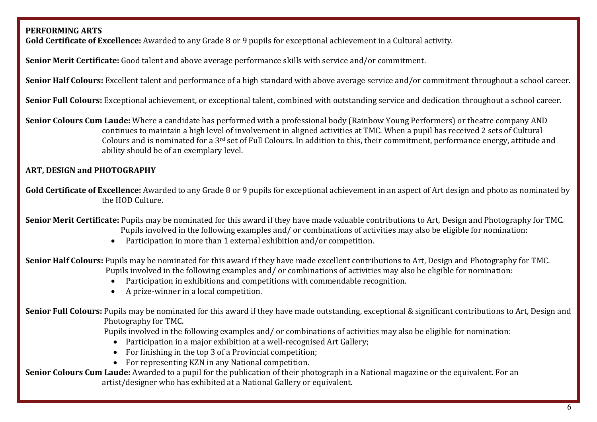# **PERFORMING ARTS**

**Gold Certificate of Excellence:** Awarded to any Grade 8 or 9 pupils for exceptional achievement in a Cultural activity.

**Senior Merit Certificate:** Good talent and above average performance skills with service and/or commitment.

**Senior Half Colours:** Excellent talent and performance of a high standard with above average service and/or commitment throughout a school career.

**Senior Full Colours:** Exceptional achievement, or exceptional talent, combined with outstanding service and dedication throughout a school career.

**Senior Colours Cum Laude:** Where a candidate has performed with a professional body (Rainbow Young Performers) or theatre company AND continues to maintain a high level of involvement in aligned activities at TMC. When a pupil has received 2 sets of Cultural Colours and is nominated for a 3rd set of Full Colours. In addition to this, their commitment, performance energy, attitude and ability should be of an exemplary level.

# **ART, DESIGN and PHOTOGRAPHY**

**Gold Certificate of Excellence:** Awarded to any Grade 8 or 9 pupils for exceptional achievement in an aspect of Art design and photo as nominated by the HOD Culture.

**Senior Merit Certificate:** Pupils may be nominated for this award if they have made valuable contributions to Art, Design and Photography for TMC. Pupils involved in the following examples and/ or combinations of activities may also be eligible for nomination:

• Participation in more than 1 external exhibition and/or competition.

**Senior Half Colours:** Pupils may be nominated for this award if they have made excellent contributions to Art, Design and Photography for TMC. Pupils involved in the following examples and/ or combinations of activities may also be eligible for nomination:

- Participation in exhibitions and competitions with commendable recognition.
- A prize-winner in a local competition.

**Senior Full Colours:** Pupils may be nominated for this award if they have made outstanding, exceptional & significant contributions to Art, Design and Photography for TMC.

Pupils involved in the following examples and/ or combinations of activities may also be eligible for nomination:

- Participation in a major exhibition at a well-recognised Art Gallery;
- For finishing in the top 3 of a Provincial competition;
- For representing KZN in any National competition.

**Senior Colours Cum Laude:** Awarded to a pupil for the publication of their photograph in a National magazine or the equivalent. For an artist/designer who has exhibited at a National Gallery or equivalent.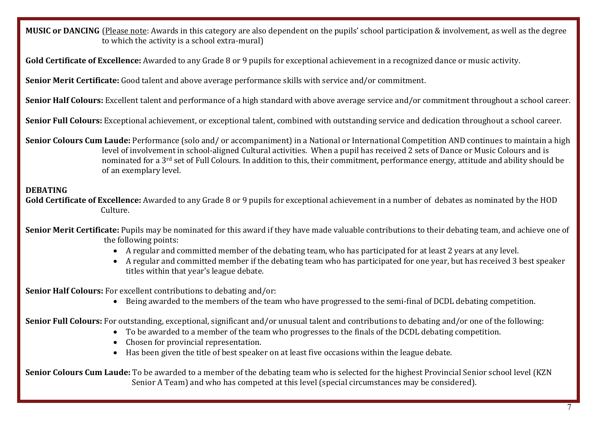**MUSIC or DANCING** (Please note: Awards in this category are also dependent on the pupils' school participation & involvement, as well as the degree to which the activity is a school extra-mural)

**Gold Certificate of Excellence:** Awarded to any Grade 8 or 9 pupils for exceptional achievement in a recognized dance or music activity.

**Senior Merit Certificate:** Good talent and above average performance skills with service and/or commitment.

**Senior Half Colours:** Excellent talent and performance of a high standard with above average service and/or commitment throughout a school career.

**Senior Full Colours:** Exceptional achievement, or exceptional talent, combined with outstanding service and dedication throughout a school career.

**Senior Colours Cum Laude:** Performance (solo and/ or accompaniment) in a National or International Competition AND continues to maintain a high level of involvement in school-aligned Cultural activities. When a pupil has received 2 sets of Dance or Music Colours and is nominated for a 3rd set of Full Colours. In addition to this, their commitment, performance energy, attitude and ability should be of an exemplary level.

# **DEBATING**

**Gold Certificate of Excellence:** Awarded to any Grade 8 or 9 pupils for exceptional achievement in a number of debates as nominated by the HOD Culture.

**Senior Merit Certificate:** Pupils may be nominated for this award if they have made valuable contributions to their debating team, and achieve one of the following points:

- A regular and committed member of the debating team, who has participated for at least 2 years at any level.
- A regular and committed member if the debating team who has participated for one year, but has received 3 best speaker titles within that year's league debate.

**Senior Half Colours:** For excellent contributions to debating and/or:

• Being awarded to the members of the team who have progressed to the semi-final of DCDL debating competition.

**Senior Full Colours:** For outstanding, exceptional, significant and/or unusual talent and contributions to debating and/or one of the following:

- To be awarded to a member of the team who progresses to the finals of the DCDL debating competition.
- Chosen for provincial representation.
- Has been given the title of best speaker on at least five occasions within the league debate.

**Senior Colours Cum Laude:** To be awarded to a member of the debating team who is selected for the highest Provincial Senior school level (KZN Senior A Team) and who has competed at this level (special circumstances may be considered).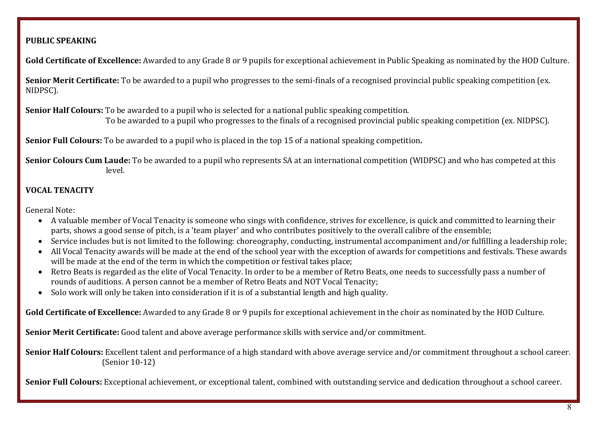### **PUBLIC SPEAKING**

**Gold Certificate of Excellence:** Awarded to any Grade 8 or 9 pupils for exceptional achievement in Public Speaking as nominated by the HOD Culture.

**Senior Merit Certificate:** To be awarded to a pupil who progresses to the semi-finals of a recognised provincial public speaking competition (ex. NIDPSC).

**Senior Half Colours:** To be awarded to a pupil who is selected for a national public speaking competition.

To be awarded to a pupil who progresses to the finals of a recognised provincial public speaking competition (ex. NIDPSC).

**Senior Full Colours:** To be awarded to a pupil who is placed in the top 15 of a national speaking competition**.**

**Senior Colours Cum Laude:** To be awarded to a pupil who represents SA at an international competition (WIDPSC) and who has competed at this level.

# **VOCAL TENACITY**

General Note:

- A valuable member of Vocal Tenacity is someone who sings with confidence, strives for excellence, is quick and committed to learning their parts, shows a good sense of pitch, is a 'team player' and who contributes positively to the overall calibre of the ensemble;
- Service includes but is not limited to the following: choreography, conducting, instrumental accompaniment and/or fulfilling a leadership role;
- All Vocal Tenacity awards will be made at the end of the school year with the exception of awards for competitions and festivals. These awards will be made at the end of the term in which the competition or festival takes place;
- Retro Beats is regarded as the elite of Vocal Tenacity. In order to be a member of Retro Beats, one needs to successfully pass a number of rounds of auditions. A person cannot be a member of Retro Beats and NOT Vocal Tenacity;
- Solo work will only be taken into consideration if it is of a substantial length and high quality.

**Gold Certificate of Excellence:** Awarded to any Grade 8 or 9 pupils for exceptional achievement in the choir as nominated by the HOD Culture.

**Senior Merit Certificate:** Good talent and above average performance skills with service and/or commitment.

**Senior Half Colours:** Excellent talent and performance of a high standard with above average service and/or commitment throughout a school career. (Senior 10-12)

**Senior Full Colours:** Exceptional achievement, or exceptional talent, combined with outstanding service and dedication throughout a school career.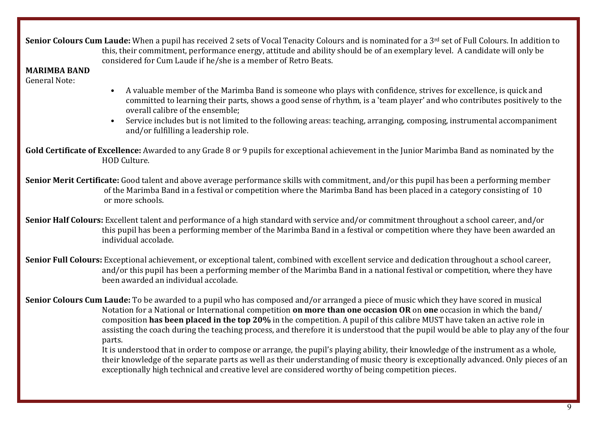**Senior Colours Cum Laude:** When a pupil has received 2 sets of Vocal Tenacity Colours and is nominated for a 3<sup>rd</sup> set of Full Colours. In addition to this, their commitment, performance energy, attitude and ability should be of an exemplary level. A candidate will only be considered for Cum Laude if he/she is a member of Retro Beats.

**MARIMBA BAND**

General Note:

- A valuable member of the Marimba Band is someone who plays with confidence, strives for excellence, is quick and committed to learning their parts, shows a good sense of rhythm, is a 'team player' and who contributes positively to the overall calibre of the ensemble;
- Service includes but is not limited to the following areas: teaching, arranging, composing, instrumental accompaniment and/or fulfilling a leadership role.

**Gold Certificate of Excellence:** Awarded to any Grade 8 or 9 pupils for exceptional achievement in the Junior Marimba Band as nominated by the HOD Culture.

**Senior Merit Certificate:** Good talent and above average performance skills with commitment, and/or this pupil has been a performing member of the Marimba Band in a festival or competition where the Marimba Band has been placed in a category consisting of 10 or more schools.

**Senior Half Colours:** Excellent talent and performance of a high standard with service and/or commitment throughout a school career, and/or this pupil has been a performing member of the Marimba Band in a festival or competition where they have been awarded an individual accolade.

**Senior Full Colours:** Exceptional achievement, or exceptional talent, combined with excellent service and dedication throughout a school career, and/or this pupil has been a performing member of the Marimba Band in a national festival or competition, where they have been awarded an individual accolade.

**Senior Colours Cum Laude:** To be awarded to a pupil who has composed and/or arranged a piece of music which they have scored in musical Notation for a National or International competition **on more than one occasion OR** on **one** occasion in which the band/ composition **has been placed in the top 20%** in the competition. A pupil of this calibre MUST have taken an active role in assisting the coach during the teaching process, and therefore it is understood that the pupil would be able to play any of the four parts.

It is understood that in order to compose or arrange, the pupil's playing ability, their knowledge of the instrument as a whole, their knowledge of the separate parts as well as their understanding of music theory is exceptionally advanced. Only pieces of an exceptionally high technical and creative level are considered worthy of being competition pieces.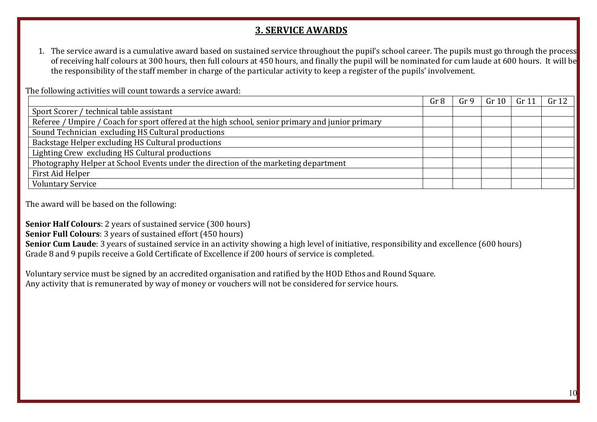# **3. SERVICE AWARDS**

1. The service award is a cumulative award based on sustained service throughout the pupil's school career. The pupils must go through the process of receiving half colours at 300 hours, then full colours at 450 hours, and finally the pupil will be nominated for cum laude at 600 hours. It will be the responsibility of the staff member in charge of the particular activity to keep a register of the pupils' involvement.

| THE TOHOWING ACTIVITIES WILL COUNT LOWAL US A SET VICE AWAI U. |                 |  |       |                   |  |
|----------------------------------------------------------------|-----------------|--|-------|-------------------|--|
| Gr <sub>8</sub>                                                | Gr <sub>9</sub> |  | Gr 11 | Gr 12             |  |
|                                                                |                 |  |       |                   |  |
|                                                                |                 |  |       |                   |  |
|                                                                |                 |  |       |                   |  |
|                                                                |                 |  |       |                   |  |
|                                                                |                 |  |       |                   |  |
|                                                                |                 |  |       |                   |  |
|                                                                |                 |  |       |                   |  |
|                                                                |                 |  |       |                   |  |
|                                                                |                 |  |       | Gr 10 $\parallel$ |  |

The following activities will count towards a service award:

The award will be based on the following:

**Senior Half Colours**: 2 years of sustained service (300 hours)

**Senior Full Colours**: 3 years of sustained effort (450 hours)

**Senior Cum Laude**: 3 years of sustained service in an activity showing a high level of initiative, responsibility and excellence (600 hours) Grade 8 and 9 pupils receive a Gold Certificate of Excellence if 200 hours of service is completed.

Voluntary service must be signed by an accredited organisation and ratified by the HOD Ethos and Round Square. Any activity that is remunerated by way of money or vouchers will not be considered for service hours.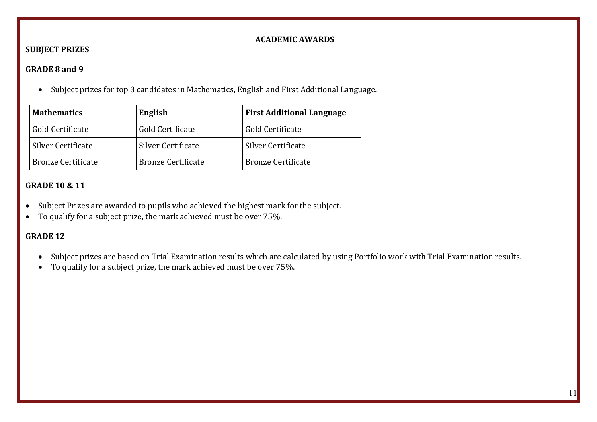#### **ACADEMIC AWARDS**

# **SUBJECT PRIZES**

#### **GRADE 8 and 9**

• Subject prizes for top 3 candidates in Mathematics, English and First Additional Language.

| <b>Mathematics</b>        | English                   | <b>First Additional Language</b> |  |
|---------------------------|---------------------------|----------------------------------|--|
| Gold Certificate          | Gold Certificate          | Gold Certificate                 |  |
| <b>Silver Certificate</b> | Silver Certificate        | Silver Certificate               |  |
| <b>Bronze Certificate</b> | <b>Bronze Certificate</b> | <b>Bronze Certificate</b>        |  |

# **GRADE 10 & 11**

- Subject Prizes are awarded to pupils who achieved the highest mark for the subject.
- To qualify for a subject prize, the mark achieved must be over 75%.

# **GRADE 12**

- Subject prizes are based on Trial Examination results which are calculated by using Portfolio work with Trial Examination results.
- To qualify for a subject prize, the mark achieved must be over 75%.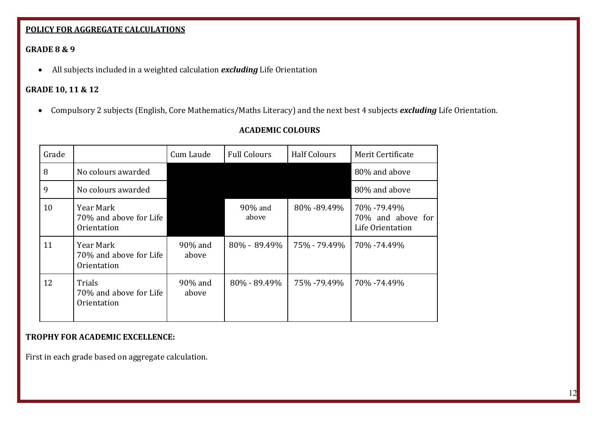# **POLICY FOR AGGREGATE CALCULATIONS**

# **GRADE 8 & 9**

• All subjects included in a weighted calculation *excluding* Life Orientation

# **GRADE 10, 11 & 12**

• Compulsory 2 subjects (English, Core Mathematics/Maths Literacy) and the next best 4 subjects *excluding* Life Orientation.

| <b>ACADEMIC COLOURS</b> |  |
|-------------------------|--|
|-------------------------|--|

| Grade |                                                    | Cum Laude        | <b>Full Colours</b> | <b>Half Colours</b> | Merit Certificate                                    |
|-------|----------------------------------------------------|------------------|---------------------|---------------------|------------------------------------------------------|
| 8     | No colours awarded                                 |                  |                     |                     | 80% and above                                        |
| 9     | No colours awarded                                 |                  |                     |                     | 80% and above                                        |
| 10    | Year Mark<br>70% and above for Life<br>Orientation |                  | 90% and<br>above    | 80% - 89.49%        | 70% -79.49%<br>70% and above for<br>Life Orientation |
| 11    | Year Mark<br>70% and above for Life<br>Orientation | 90% and<br>above | $80\% - 89.49\%$    | 75% - 79.49%        | 70% -74.49%                                          |
| 12    | Trials<br>70% and above for Life<br>Orientation    | 90% and<br>above | $80\% - 89.49\%$    | 75% - 79.49%        | 70% -74.49%                                          |

# **TROPHY FOR ACADEMIC EXCELLENCE:**

First in each grade based on aggregate calculation.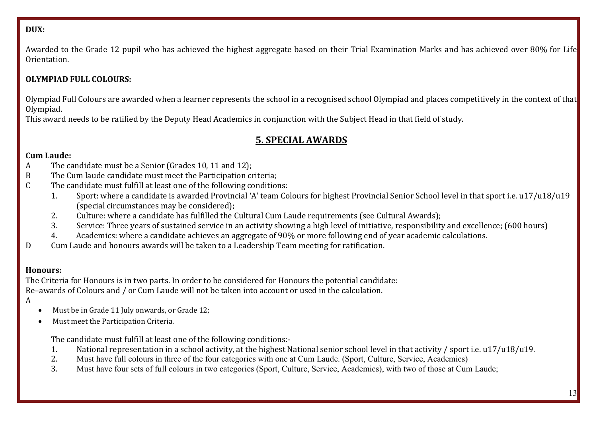# **DUX:**

Awarded to the Grade 12 pupil who has achieved the highest aggregate based on their Trial Examination Marks and has achieved over 80% for Life Orientation.

# **OLYMPIAD FULL COLOURS:**

Olympiad Full Colours are awarded when a learner represents the school in a recognised school Olympiad and places competitively in the context of that Olympiad.

This award needs to be ratified by the Deputy Head Academics in conjunction with the Subject Head in that field of study.

# **5. SPECIAL AWARDS**

# **Cum Laude:**

- A The candidate must be a Senior (Grades 10, 11 and 12);<br>B The Cum laude candidate must meet the Participation co
- B The Cum laude candidate must meet the Participation criteria;<br>C The candidate must fulfill at least one of the following condition
- The candidate must fulfill at least one of the following conditions:<br>1. Sport: where a candidate is awarded Provincial 'A' team Co
	- 1. Sport: where a candidate is awarded Provincial 'A' team Colours for highest Provincial Senior School level in that sport i.e. u17/u18/u19 (special circumstances may be considered);
	- 2. Culture: where a candidate has fulfilled the Cultural Cum Laude requirements (see Cultural Awards);<br>3. Service: Three vears of sustained service in an activity showing a high level of initiative, responsibilit
	- 3. Service: Three years of sustained service in an activity showing a high level of initiative, responsibility and excellence; (600 hours)<br>4. Academics: where a candidate achieves an aggregate of 90% or more following end
	- Academics: where a candidate achieves an aggregate of 90% or more following end of year academic calculations.
- D Cum Laude and honours awards will be taken to a Leadership Team meeting for ratification.

# **Honours:**

The Criteria for Honours is in two parts. In order to be considered for Honours the potential candidate: Re–awards of Colours and / or Cum Laude will not be taken into account or used in the calculation.

- A
- Must be in Grade 11 July onwards, or Grade 12;
- Must meet the Participation Criteria.

The candidate must fulfill at least one of the following conditions:-<br>1. National representation in a school activity, at the highest N

- 1. National representation in a school activity, at the highest National senior school level in that activity / sport i.e. u17/u18/u19.<br>2. Must have full colours in three of the four categories with one at Cum Laude. (Spor
- 2. Must have full colours in three of the four categories with one at Cum Laude. (Sport, Culture, Service, Academics)<br>3. Must have four sets of full colours in two categories (Sport, Culture, Service, Academics), with two
- 3. Must have four sets of full colours in two categories (Sport, Culture, Service, Academics), with two of those at Cum Laude;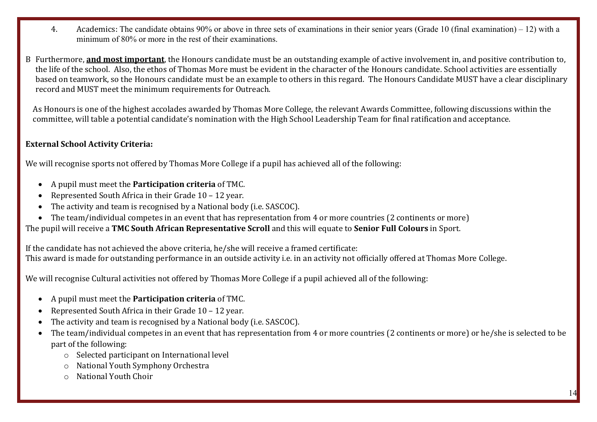- 4. Academics: The candidate obtains 90% or above in three sets of examinations in their senior years (Grade 10 (final examination) 12) with a minimum of 80% or more in the rest of their examinations.
- B Furthermore, **and most important**, the Honours candidate must be an outstanding example of active involvement in, and positive contribution to, the life of the school. Also, the ethos of Thomas More must be evident in the character of the Honours candidate. School activities are essentially based on teamwork, so the Honours candidate must be an example to others in this regard. The Honours Candidate MUST have a clear disciplinary record and MUST meet the minimum requirements for Outreach.

 As Honours is one of the highest accolades awarded by Thomas More College, the relevant Awards Committee, following discussions within the committee, will table a potential candidate's nomination with the High School Leadership Team for final ratification and acceptance.

# **External School Activity Criteria:**

We will recognise sports not offered by Thomas More College if a pupil has achieved all of the following:

- A pupil must meet the **Participation criteria** of TMC.
- Represented South Africa in their Grade 10 12 year.
- The activity and team is recognised by a National body (i.e. SASCOC).
- The team/individual competes in an event that has representation from 4 or more countries (2 continents or more)

The pupil will receive a **TMC South African Representative Scroll** and this will equate to **Senior Full Colours** in Sport.

If the candidate has not achieved the above criteria, he/she will receive a framed certificate: This award is made for outstanding performance in an outside activity i.e. in an activity not officially offered at Thomas More College.

We will recognise Cultural activities not offered by Thomas More College if a pupil achieved all of the following:

- A pupil must meet the **Participation criteria** of TMC.
- Represented South Africa in their Grade 10 12 year.
- The activity and team is recognised by a National body (i.e. SASCOC).
- The team/individual competes in an event that has representation from 4 or more countries (2 continents or more) or he/she is selected to be part of the following:
	- o Selected participant on International level
	- o National Youth Symphony Orchestra
	- o National Youth Choir